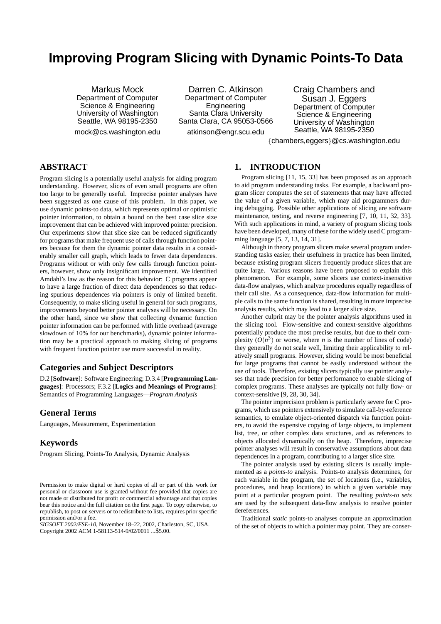# **Improving Program Slicing with Dynamic Points-To Data**

Markus Mock Department of Computer Science & Engineering University of Washington Seattle, WA 98195-2350 mock@cs.washington.edu

Darren C. Atkinson Department of Computer Engineering Santa Clara University Santa Clara, CA 95053-0566 atkinson@engr.scu.edu

Craig Chambers and Susan J. Eggers Department of Computer Science & Engineering University of Washington Seattle, WA 98195-2350

{chambers,eggers}@cs.washington.edu

# **ABSTRACT**

Program slicing is a potentially useful analysis for aiding program understanding. However, slices of even small programs are often too large to be generally useful. Imprecise pointer analyses have been suggested as one cause of this problem. In this paper, we use dynamic points-to data, which represents optimal or optimistic pointer information, to obtain a bound on the best case slice size improvement that can be achieved with improved pointer precision. Our experiments show that slice size can be reduced significantly for programs that make frequent use of calls through function pointers because for them the dynamic pointer data results in a considerably smaller call graph, which leads to fewer data dependences. Programs without or with only few calls through function pointers, however, show only insignificant improvement. We identified Amdahl's law as the reason for this behavior: C programs appear to have a large fraction of direct data dependences so that reducing spurious dependences via pointers is only of limited benefit. Consequently, to make slicing useful in general for such programs, improvements beyond better pointer analyses will be necessary. On the other hand, since we show that collecting dynamic function pointer information can be performed with little overhead (average slowdown of 10% for our benchmarks), dynamic pointer information may be a practical approach to making slicing of programs with frequent function pointer use more successful in reality.

#### **Categories and Subject Descriptors**

D.2 [**Software**]: Software Engineering; D.3.4 [**Programming Languages**]: Processors; F.3.2 [**Logics and Meanings of Programs**]: Semantics of Programming Languages—*Program Analysis*

# **General Terms**

Languages, Measurement, Experimentation

## **Keywords**

Program Slicing, Points-To Analysis, Dynamic Analysis

*SIGSOFT 2002/FSE-10,* November 18–22, 2002, Charleston, SC, USA. Copyright 2002 ACM 1-58113-514-9/02/0011 ...\$5.00.

## **1. INTRODUCTION**

Program slicing [11, 15, 33] has been proposed as an approach to aid program understanding tasks. For example, a backward program slicer computes the set of statements that may have affected the value of a given variable, which may aid programmers during debugging. Possible other applications of slicing are software maintenance, testing, and reverse engineering [7, 10, 11, 32, 33]. With such applications in mind, a variety of program slicing tools have been developed, many of these for the widely used C programming language [5, 7, 13, 14, 31].

Although in theory program slicers make several program understanding tasks easier, their usefulness in practice has been limited, because existing program slicers frequently produce slices that are quite large. Various reasons have been proposed to explain this phenomenon. For example, some slicers use context-insensitive data-flow analyses, which analyze procedures equally regardless of their call site. As a consequence, data-flow information for multiple calls to the same function is shared, resulting in more imprecise analysis results, which may lead to a larger slice size.

Another culprit may be the pointer analysis algorithms used in the slicing tool. Flow-sensitive and context-sensitive algorithms potentially produce the most precise results, but due to their complexity  $(O(n^3))$  or worse, where *n* is the number of lines of code) they generally do not scale well, limiting their applicability to relatively small programs. However, slicing would be most beneficial for large programs that cannot be easily understood without the use of tools. Therefore, existing slicers typically use pointer analyses that trade precision for better performance to enable slicing of complex programs. These analyses are typically not fully flow- or context-sensitive [9, 28, 30, 34].

The pointer imprecision problem is particularly severe for C programs, which use pointers extensively to simulate call-by-reference semantics, to emulate object-oriented dispatch via function pointers, to avoid the expensive copying of large objects, to implement list, tree, or other complex data structures, and as references to objects allocated dynamically on the heap. Therefore, imprecise pointer analyses will result in conservative assumptions about data dependences in a program, contributing to a larger slice size.

The pointer analysis used by existing slicers is usually implemented as a *points-to* analysis. Points-to analysis determines, for each variable in the program, the set of locations (i.e., variables, procedures, and heap locations) to which a given variable may point at a particular program point. The resulting *points-to sets* are used by the subsequent data-flow analysis to resolve pointer dereferences.

Traditional *static* points-to analyses compute an approximation of the set of objects to which a pointer may point. They are conser-

Permission to make digital or hard copies of all or part of this work for personal or classroom use is granted without fee provided that copies are not made or distributed for profit or commercial advantage and that copies bear this notice and the full citation on the first page. To copy otherwise, to republish, to post on servers or to redistribute to lists, requires prior specific permission and/or a fee.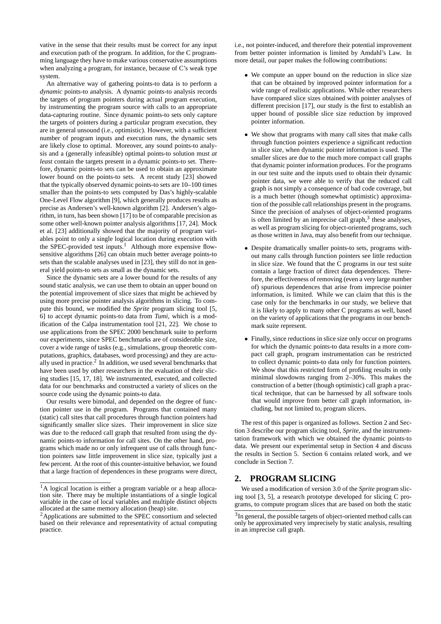vative in the sense that their results must be correct for any input and execution path of the program. In addition, for the C programming language they have to make various conservative assumptions when analyzing a program, for instance, because of C's weak type system.

An alternative way of gathering points-to data is to perform a *dynamic* points-to analysis. A dynamic points-to analysis records the targets of program pointers during actual program execution, by instrumenting the program source with calls to an appropriate data-capturing routine. Since dynamic points-to sets only capture the targets of pointers during a particular program execution, they are in general unsound (i.e., optimistic). However, with a sufficient number of program inputs and execution runs, the dynamic sets are likely close to optimal. Moreover, any sound points-to analysis and a (generally infeasible) optimal points-to solution must *at least* contain the targets present in a dynamic points-to set. Therefore, dynamic points-to sets can be used to obtain an approximate lower bound on the points-to sets. A recent study [23] showed that the typically observed dynamic points-to sets are 10–100 times smaller than the points-to sets computed by Das's highly-scalable One-Level Flow algorithm [9], which generally produces results as precise as Andersen's well-known algorithm [2]. Andersen's algorithm, in turn, has been shown [17] to be of comparable precision as some other well-known pointer analysis algorithms [17, 24]. Mock et al. [23] additionally showed that the majority of program variables point to only a single logical location during execution with the SPEC-provided test inputs.<sup>1</sup> Although more expensive flowsensitive algorithms [26] can obtain much better average points-to sets than the scalable analyses used in [23], they still do not in general yield points-to sets as small as the dynamic sets.

Since the dynamic sets are a lower bound for the results of any sound static analysis, we can use them to obtain an upper bound on the potential improvement of slice sizes that might be achieved by using more precise pointer analysis algorithms in slicing. To compute this bound, we modified the *Sprite* program slicing tool [5, 6] to accept dynamic points-to data from *Tumi*, which is a modification of the Calpa instrumentation tool [21, 22]. We chose to use applications from the SPEC 2000 benchmark suite to perform our experiments, since SPEC benchmarks are of considerable size, cover a wide range of tasks (e.g., simulations, group theoretic computations, graphics, databases, word processing) and they are actually used in practice. $2$  In addition, we used several benchmarks that have been used by other researchers in the evaluation of their slicing studies [15, 17, 18]. We instrumented, executed, and collected data for our benchmarks and constructed a variety of slices on the source code using the dynamic points-to data.

Our results were bimodal, and depended on the degree of function pointer use in the program. Programs that contained many (static) call sites that call procedures through function pointers had significantly smaller slice sizes. Their improvement in slice size was due to the reduced call graph that resulted from using the dynamic points-to information for call sites. On the other hand, programs which made no or only infrequent use of calls through function pointers saw little improvement in slice size, typically just a few percent. At the root of this counter-intuitive behavior, we found that a large fraction of dependences in these programs were direct,

i.e., not pointer-induced, and therefore their potential improvement from better pointer information is limited by Amdahl's Law. In more detail, our paper makes the following contributions:

- We compute an upper bound on the reduction in slice size that can be obtained by improved pointer information for a wide range of realistic applications. While other researchers have compared slice sizes obtained with pointer analyses of different precision [17], our study is the first to establish an upper bound of possible slice size reduction by improved pointer information.
- We show that programs with many call sites that make calls through function pointers experience a significant reduction in slice size, when dynamic pointer information is used. The smaller slices are due to the much more compact call graphs that dynamic pointer information produces. For the programs in our test suite and the inputs used to obtain their dynamic pointer data, we were able to verify that the reduced call graph is not simply a consequence of bad code coverage, but is a much better (though somewhat optimistic) approximation of the possible call relationships present in the programs. Since the precision of analyses of object-oriented programs is often limited by an imprecise call graph, $3$  these analyses, as well as program slicing for object-oriented programs, such as those written in Java, may also benefit from our technique.
- Despite dramatically smaller points-to sets, programs without many calls through function pointers see little reduction in slice size. We found that the C programs in our test suite contain a large fraction of direct data dependences. Therefore, the effectiveness of removing (even a very large number of) spurious dependences that arise from imprecise pointer information, is limited. While we can claim that this is the case only for the benchmarks in our study, we believe that it is likely to apply to many other C programs as well, based on the variety of applications that the programs in our benchmark suite represent.
- Finally, since reductions in slice size only occur on programs for which the dynamic points-to data results in a more compact call graph, program instrumentation can be restricted to collect dynamic points-to data only for function pointers. We show that this restricted form of profiling results in only minimal slowdowns ranging from 2–30%. This makes the construction of a better (though optimistic) call graph a practical technique, that can be harnessed by all software tools that would improve from better call graph information, including, but not limited to, program slicers.

The rest of this paper is organized as follows. Section 2 and Section 3 describe our program slicing tool, *Sprite*, and the instrumentation framework with which we obtained the dynamic points-to data. We present our experimental setup in Section 4 and discuss the results in Section 5. Section 6 contains related work, and we conclude in Section 7.

# **2. PROGRAM SLICING**

We used a modification of version 3.0 of the *Sprite* program slicing tool [3, 5], a research prototype developed for slicing C programs, to compute program slices that are based on both the static

<sup>&</sup>lt;sup>1</sup>A logical location is either a program variable or a heap allocation site. There may be multiple instantiations of a single logical variable in the case of local variables and multiple distinct objects allocated at the same memory allocation (heap) site.

 $2$ Applications are submitted to the SPEC consortium and selected based on their relevance and representativity of actual computing practice.

<sup>&</sup>lt;sup>3</sup>In general, the possible targets of object-oriented method calls can only be approximated very imprecisely by static analysis, resulting in an imprecise call graph.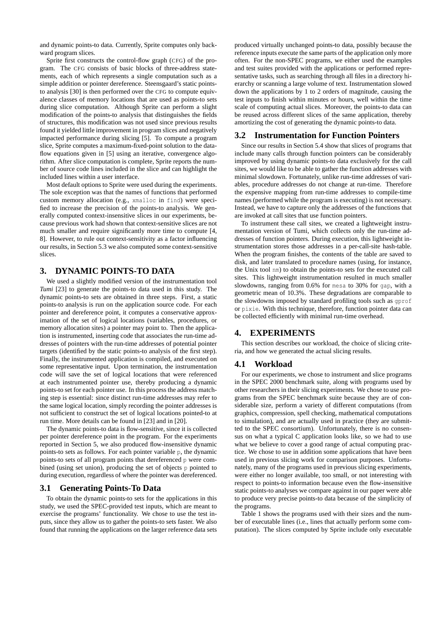and dynamic points-to data. Currently, Sprite computes only backward program slices.

Sprite first constructs the control-flow graph (CFG) of the program. The CFG consists of basic blocks of three-address statements, each of which represents a single computation such as a simple addition or pointer dereference. Steensgaard's static pointsto analysis [30] is then performed over the CFG to compute equivalence classes of memory locations that are used as points-to sets during slice computation. Although Sprite can perform a slight modification of the points-to analysis that distinguishes the fields of structures, this modification was not used since previous results found it yielded little improvement in program slices and negatively impacted performance during slicing [5]. To compute a program slice, Sprite computes a maximum-fixed-point solution to the dataflow equations given in [5] using an iterative, convergence algorithm. After slice computation is complete, Sprite reports the number of source code lines included in the slice and can highlight the included lines within a user interface.

Most default options to Sprite were used during the experiments. The sole exception was that the names of functions that performed custom memory allocation (e.g., xmalloc in find) were specified to increase the precision of the points-to analysis. We generally computed context-insensitive slices in our experiments, because previous work had shown that context-sensitive slices are not much smaller and require significantly more time to compute [4, 8]. However, to rule out context-sensitivity as a factor influencing our results, in Section 5.3 we also computed some context-sensitive slices.

# **3. DYNAMIC POINTS-TO DATA**

We used a slightly modified version of the instrumentation tool *Tumi* [23] to generate the points-to data used in this study. The dynamic points-to sets are obtained in three steps. First, a static points-to analysis is run on the application source code. For each pointer and dereference point, it computes a conservative approximation of the set of logical locations (variables, procedures, or memory allocation sites) a pointer may point to. Then the application is instrumented, inserting code that associates the run-time addresses of pointers with the run-time addresses of potential pointer targets (identified by the static points-to analysis of the first step). Finally, the instrumented application is compiled, and executed on some representative input. Upon termination, the instrumentation code will save the set of logical locations that were referenced at each instrumented pointer use, thereby producing a dynamic points-to set for each pointer use. In this process the address matching step is essential: since distinct run-time addresses may refer to the same logical location, simply recording the pointer addresses is not sufficient to construct the set of logical locations pointed-to at run time. More details can be found in [23] and in [20].

The dynamic points-to data is flow-sensitive, since it is collected per pointer dereference point in the program. For the experiments reported in Section 5, we also produced flow-insensitive dynamic points-to sets as follows. For each pointer variable p, the dynamic points-to sets of all program points that dereferenced  $\nu$  were combined (using set union), producing the set of objects p pointed to during execution, regardless of where the pointer was dereferenced.

#### **3.1 Generating Points-To Data**

To obtain the dynamic points-to sets for the applications in this study, we used the SPEC-provided test inputs, which are meant to exercise the programs' functionality. We chose to use the test inputs, since they allow us to gather the points-to sets faster. We also found that running the applications on the larger reference data sets

produced virtually unchanged points-to data, possibly because the reference inputs execute the same parts of the application only more often. For the non-SPEC programs, we either used the examples and test suites provided with the applications or performed representative tasks, such as searching through all files in a directory hierarchy or scanning a large volume of text. Instrumentation slowed down the applications by 1 to 2 orders of magnitude, causing the test inputs to finish within minutes or hours, well within the time scale of computing actual slices. Moreover, the points-to data can be reused across different slices of the same application, thereby amortizing the cost of generating the dynamic points-to data.

#### **3.2 Instrumentation for Function Pointers**

Since our results in Section 5.4 show that slices of programs that include many calls through function pointers can be considerably improved by using dynamic points-to data exclusively for the call sites, we would like to be able to gather the function addresses with minimal slowdown. Fortunately, unlike run-time addresses of variables, procedure addresses do not change at run-time. Therefore the expensive mapping from run-time addresses to compile-time names (performed while the program is executing) is not necessary. Instead, we have to capture only the addresses of the functions that are invoked at call sites that use function pointers.

To instrument these call sites, we created a lightweight instrumentation version of Tumi, which collects only the run-time addresses of function pointers. During execution, this lightweight instrumentation stores those addresses in a per-call-site hash-table. When the program finishes, the contents of the table are saved to disk, and later translated to procedure names (using, for instance, the Unix tool nm) to obtain the points-to sets for the executed call sites. This lightweight instrumentation resulted in much smaller slowdowns, ranging from 0.6% for mesa to 30% for gap, with a geometric mean of 10.3%. These degradations are comparable to the slowdowns imposed by standard profiling tools such as gprof or pixie. With this technique, therefore, function pointer data can be collected efficiently with minimal run-time overhead.

#### **4. EXPERIMENTS**

This section describes our workload, the choice of slicing criteria, and how we generated the actual slicing results.

#### **4.1 Workload**

For our experiments, we chose to instrument and slice programs in the SPEC 2000 benchmark suite, along with programs used by other researchers in their slicing experiments. We chose to use programs from the SPEC benchmark suite because they are of considerable size, perform a variety of different computations (from graphics, compression, spell checking, mathematical computations to simulation), and are actually used in practice (they are submitted to the SPEC consortium). Unfortunately, there is no consensus on what a typical C application looks like, so we had to use what we believe to cover a good range of actual computing practice. We chose to use in addition some applications that have been used in previous slicing work for comparison purposes. Unfortunately, many of the programs used in previous slicing experiments, were either no longer available, too small, or not interesting with respect to points-to information because even the flow-insensitive static points-to analyses we compare against in our paper were able to produce very precise points-to data because of the simplicity of the programs.

Table 1 shows the programs used with their sizes and the number of executable lines (i.e., lines that actually perform some computation). The slices computed by Sprite include only executable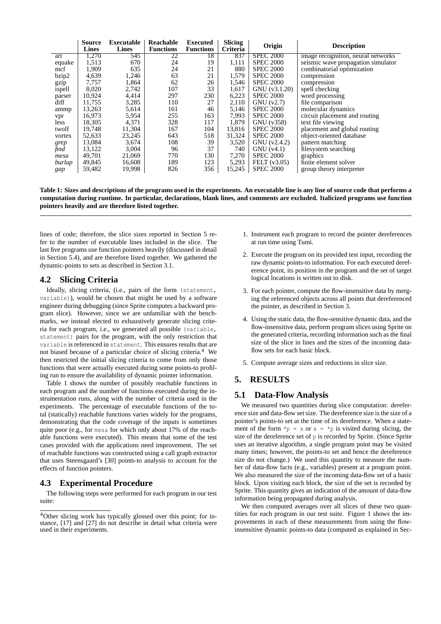|        | Source       | Executable   | Reachable        | <b>Executed</b>  | <b>Slicing</b>  | Origin           | <b>Description</b>                 |
|--------|--------------|--------------|------------------|------------------|-----------------|------------------|------------------------------------|
|        | <b>Lines</b> | <b>Lines</b> | <b>Functions</b> | <b>Functions</b> | <b>Criteria</b> |                  |                                    |
| art    | 1,270        | 545          | 22               | 18               | 837             | <b>SPEC 2000</b> | image recognition, neural networks |
| equake | 1,513        | 670          | 24               | 19               | 1,111           | <b>SPEC 2000</b> | seismic wave propagation simulator |
| mcf    | 1,909        | 635          | 24               | 21               | 880             | <b>SPEC 2000</b> | combinatorial optimization         |
| bzip2  | 4,639        | 1,246        | 63               | 21               | 1,579           | <b>SPEC 2000</b> | compression                        |
| gzip   | 7,757        | 1,864        | 62               | 26               | 1,546           | <b>SPEC 2000</b> | compression                        |
| ispell | 8,020        | 2,742        | 107              | 33               | 1,617           | GNU (v3.1.20)    | spell checking                     |
| parser | 10,924       | 4,414        | 297              | 230              | 6,223           | <b>SPEC 2000</b> | word processing                    |
| diff   | 11,755       | 3,285        | 110              | 27               | 2,110           | GNU (v2.7)       | file comparison                    |
| ammp   | 13,263       | 5,614        | 161              | 46               | 5.146           | <b>SPEC 2000</b> | molecular dynamics                 |
| vpr    | 16,973       | 5,954        | 255              | 163              | 7.993           | <b>SPEC 2000</b> | circuit placement and routing      |
| less   | 18,305       | 4,371        | 328              | 117              | 1.879           | GNU (v358)       | text file viewing                  |
| twolf  | 19,748       | 11,304       | 167              | 104              | 13,816          | <b>SPEC 2000</b> | placement and global routing       |
| vortex | 52,633       | 23,245       | 643              | 518              | 31,324          | <b>SPEC 2000</b> | object-oriented database           |
| grep   | 13,084       | 3,674        | 108              | 39               | 3,520           | GNU (v2.4.2)     | pattern matching                   |
| find   | 13,122       | 3,004        | 96               | 37               | 740             | GNU (v4.1)       | filesystem searching               |
| mesa   | 49,701       | 21,069       | 770              | 130              | 7,270           | <b>SPEC 2000</b> | graphics                           |
| burlap | 49,845       | 16,608       | 189              | 123              | 5,293           | FELT $(v3.05)$   | finite element solver              |
| gap    | 59,482       | 19,998       | 826              | 356              | 15,245          | <b>SPEC 2000</b> | group theory interpreter           |

**Table 1: Sizes and descriptions of the programs used in the experiments. An executable line is any line of source code that performs a computation during runtime. In particular, declarations, blank lines, and comments are excluded. Italicized programs use function pointers heavily and are therefore listed together.**

lines of code; therefore, the slice sizes reported in Section 5 refer to the number of executable lines included in the slice. The last five programs use function pointers heavily (discussed in detail in Section 5.4), and are therefore listed together. We gathered the dynamic-points to sets as described in Section 3.1.

### **4.2 Slicing Criteria**

Ideally, slicing criteria, (i.e., pairs of the form (statement, variable)), would be chosen that might be used by a software engineer during debugging (since Sprite computes a backward program slice). However, since we are unfamiliar with the benchmarks, we instead elected to exhaustively generate slicing criteria for each program, i.e., we generated all possible (variable, statement) pairs for the program, with the only restriction that variable is referenced in statement. This ensures results that are not biased because of a particular choice of slicing criteria.<sup>4</sup> We then restricted the initial slicing criteria to come from only those functions that were actually executed during some points-to profiling run to ensure the availability of dynamic pointer information.

Table 1 shows the number of possibly reachable functions in each program and the number of functions executed during the instrumentation runs, along with the number of criteria used in the experiments. The percentage of executable functions of the total (statically) reachable functions varies widely for the programs, demonstrating that the code coverage of the inputs is sometimes quite poor (e.g., for mesa for which only about 17% of the reachable functions were executed). This means that some of the test cases provided with the applications need improvement. The set of reachable functions was constructed using a call graph extractor that uses Steensgaard's [30] points-to analysis to account for the effects of function pointers.

# **4.3 Experimental Procedure**

The following steps were performed for each program in our test suite:

- 1. Instrument each program to record the pointer dereferences at run time using Tumi.
- 2. Execute the program on its provided test input, recording the raw dynamic points-to information. For each executed dereference point, its position in the program and the set of target logical locations is written out to disk.
- 3. For each pointer, compute the flow-insensitive data by merging the referenced objects across all points that dereferenced the pointer, as described in Section 3.
- 4. Using the static data, the flow-sensitive dynamic data, and the flow-insensitive data, perform program slices using Sprite on the generated criteria, recording information such as the final size of the slice in lines and the sizes of the incoming dataflow sets for each basic block.
- 5. Compute average sizes and reductions in slice size.

# **5. RESULTS**

# **5.1 Data-Flow Analysis**

We measured two quantities during slice computation: dereference size and data-flow set size. The dereference size is the size of a pointer's points-to set at the time of its dereference. When a statement of the form  $*_p = x$  or  $x = *_p$  is visited during slicing, the size of the dereference set of p is recorded by Sprite. (Since Sprite uses an iterative algorithm, a single program point may be visited many times; however, the points-to set and hence the dereference size do not change.) We used this quantity to measure the number of data-flow facts (e.g., variables) present at a program point. We also measured the size of the incoming data-flow set of a basic block. Upon visiting each block, the size of the set is recorded by Sprite. This quantity gives an indication of the amount of data-flow information being propagated during analysis.

We then computed averages over all slices of these two quantities for each program in our test suite. Figure 1 shows the improvements in each of these measurements from using the flowinsensitive dynamic points-to data (computed as explained in Sec-

<sup>&</sup>lt;sup>4</sup>Other slicing work has typically glossed over this point; for instance, [17] and [27] do not describe in detail what criteria were used in their experiments.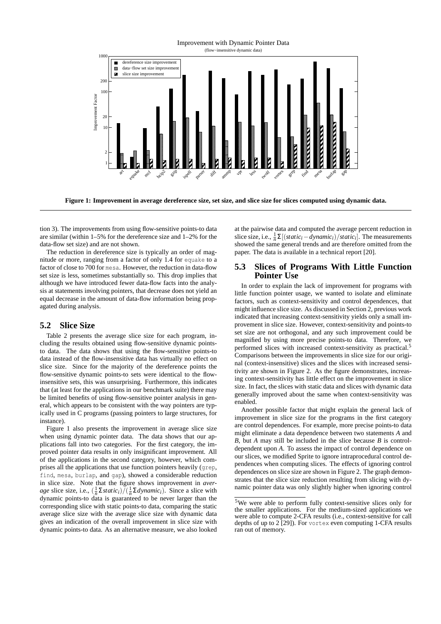Improvement with Dynamic Pointer Data



**Figure 1: Improvement in average dereference size, set size, and slice size for slices computed using dynamic data.**

tion 3). The improvements from using flow-sensitive points-to data are similar (within 1–5% for the dereference size and 1–2% for the data-flow set size) and are not shown.

The reduction in dereference size is typically an order of magnitude or more, ranging from a factor of only 1.4 for equake to a factor of close to 700 for mesa. However, the reduction in data-flow set size is less, sometimes substantially so. This drop implies that although we have introduced fewer data-flow facts into the analysis at statements involving pointers, that decrease does not yield an equal decrease in the amount of data-flow information being propagated during analysis.

# **5.2 Slice Size**

Table 2 presents the average slice size for each program, including the results obtained using flow-sensitive dynamic pointsto data. The data shows that using the flow-sensitive points-to data instead of the flow-insensitive data has virtually no effect on slice size. Since for the majority of the dereference points the flow-sensitive dynamic points-to sets were identical to the flowinsensitive sets, this was unsurprising. Furthermore, this indicates that (at least for the applications in our benchmark suite) there may be limited benefits of using flow-sensitive pointer analysis in general, which appears to be consistent with the way pointers are typically used in C programs (passing pointers to large structures, for instance).

Figure 1 also presents the improvement in average slice size when using dynamic pointer data. The data shows that our applications fall into two categories. For the first category, the improved pointer data results in only insignificant improvement. All of the applications in the second category, however, which comprises all the applications that use function pointers heavily (grep, find, mesa, burlap, and gap), showed a considerable reduction in slice size. Note that the figure shows improvement in *average* slice size, i.e.,  $\left(\frac{1}{n} \sum_{i} (I_i - I_i) / \left(\frac{1}{n} \sum_{i} (I_i - I_i) / \left(\frac{1}{n} \sum_{i} (I_i - I_i) / \left(\frac{1}{n} \sum_{i} (I_i - I_i) / \left(\frac{1}{n} \sum_{i} (I_i - I_i) / \left(\frac{1}{n} \sum_{i} (I_i - I_i) / \left(\frac{1}{n} \sum_{i} (I_i - I_i) / \left(\frac{1}{n} \sum_{i} (I_i - I_i) / \left(\frac{1}{n} \sum_{i} (I_i - I_i$ dynamic points-to data is guaranteed to be never larger than the corresponding slice with static points-to data, comparing the static average slice size with the average slice size with dynamic data gives an indication of the overall improvement in slice size with dynamic points-to data. As an alternative measure, we also looked

at the pairwise data and computed the average percent reduction in slice size, i.e.,  $\frac{1}{n} \sum [(static_i - dynamic_i)/static_i]$ . The measurements showed the same general trends and are therefore omitted from the paper. The data is available in a technical report [20].

# **5.3 Slices of Programs With Little Function Pointer Use**

In order to explain the lack of improvement for programs with little function pointer usage, we wanted to isolate and eliminate factors, such as context-sensitivity and control dependences, that might influence slice size. As discussed in Section 2, previous work indicated that increasing context-sensitivity yields only a small improvement in slice size. However, context-sensitivity and points-to set size are not orthogonal, and any such improvement could be magnified by using more precise points-to data. Therefore, we performed slices with increased context-sensitivity as practical.<sup>5</sup> Comparisons between the improvements in slice size for our original (context-insensitive) slices and the slices with increased sensitivity are shown in Figure 2. As the figure demonstrates, increasing context-sensitivity has little effect on the improvement in slice size. In fact, the slices with static data and slices with dynamic data generally improved about the same when context-sensitivity was enabled.

Another possible factor that might explain the general lack of improvement in slice size for the programs in the first category are control dependences. For example, more precise points-to data might eliminate a data dependence between two statements *A* and *B*, but *A* may still be included in the slice because *B* is controldependent upon *A*. To assess the impact of control dependence on our slices, we modified Sprite to ignore intraprocedural control dependences when computing slices. The effects of ignoring control dependences on slice size are shown in Figure 2. The graph demonstrates that the slice size reduction resulting from slicing with dynamic pointer data was only slightly higher when ignoring control

<sup>5</sup>We were able to perform fully context-sensitive slices only for the smaller applications. For the medium-sized applications we were able to compute 2-CFA results (i.e., context-sensitive for call depths of up to 2 [29]). For vortex even computing 1-CFA results ran out of memory.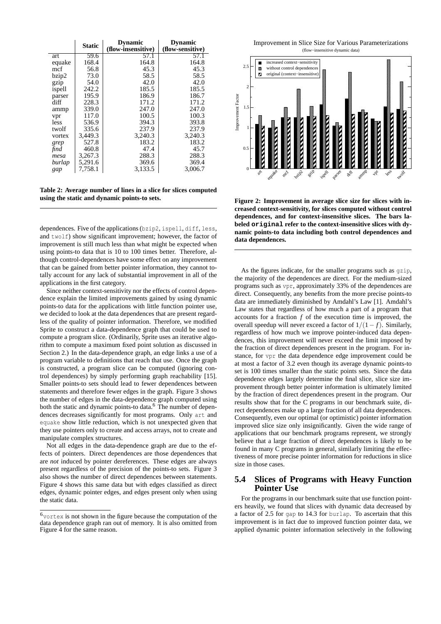|                   | <b>Static</b> | <b>Dynamic</b><br>(flow-insensitive) | <b>Dynamic</b><br>(flow-sensitive) |  |
|-------------------|---------------|--------------------------------------|------------------------------------|--|
| art               | 59.6          | 57.1                                 | 57.1                               |  |
| equake            | 168.4         | 164.8                                | 164.8                              |  |
| mcf               | 56.8          | 45.3                                 | 45.3                               |  |
| bzip2             | 73.0          | 58.5                                 | 58.5                               |  |
| gz <sub>1</sub> p | 54.0          | 42.0                                 | 42.0                               |  |
| ispell            | 242.2         | 185.5                                | 185.5                              |  |
| parser            | 195.9         | 186.9                                | 186.7                              |  |
| diff              | 228.3         | 171.2                                | 171.2                              |  |
| ammp              | 339.0         | 247.0                                | 247.0                              |  |
| vpr               | 117.0         | 100.5                                | 100.3                              |  |
| less              | 536.9         | 394.3                                | 393.8                              |  |
| twolf             | 335.6         | 237.9                                | 237.9                              |  |
| vortex            | 3.449.3       | 3.240.3                              | 3.240.3                            |  |
| grep              | 527.8         | 183.2                                | 183.2                              |  |
| find              | 460.8         | 47.4                                 | 45.7                               |  |
| mesa              | 3,267.3       | 288.3                                | 288.3                              |  |
| burlap            | 5,291.6       | 369.6                                | 369.4                              |  |
| gap               | 7,758.1       | 3,133.5                              | 3,006.7                            |  |

**Table 2: Average number of lines in a slice for slices computed using the static and dynamic points-to sets.**

dependences. Five of the applications (bzip2, ispell, diff, less, and twolf) show significant improvement; however, the factor of improvement is still much less than what might be expected when using points-to data that is 10 to 100 times better. Therefore, although control-dependences have some effect on any improvement that can be gained from better pointer information, they cannot totally account for any lack of substantial improvement in all of the applications in the first category.

Since neither context-sensitivity nor the effects of control dependence explain the limited improvements gained by using dynamic points-to data for the applications with little function pointer use, we decided to look at the data dependences that are present regardless of the quality of pointer information. Therefore, we modified Sprite to construct a data-dependence graph that could be used to compute a program slice. (Ordinarily, Sprite uses an iterative algorithm to compute a maximum fixed point solution as discussed in Section 2.) In the data-dependence graph, an edge links a use of a program variable to definitions that reach that use. Once the graph is constructed, a program slice can be computed (ignoring control dependences) by simply performing graph reachability [15]. Smaller points-to sets should lead to fewer dependences between statements and therefore fewer edges in the graph. Figure 3 shows the number of edges in the data-dependence graph computed using both the static and dynamic points-to data.<sup>6</sup> The number of dependences decreases significantly for most programs. Only art and equake show little reduction, which is not unexpected given that they use pointers only to create and access arrays, not to create and manipulate complex structures.

Not all edges in the data-dependence graph are due to the effects of pointers. Direct dependences are those dependences that are *not* induced by pointer dereferences. These edges are always present regardless of the precision of the points-to sets. Figure 3 also shows the number of direct dependences between statements. Figure 4 shows this same data but with edges classified as direct edges, dynamic pointer edges, and edges present only when using the static data.

Improvement in Slice Size for Various Parameterizations (flow−insensitive dynamic data)



**Figure 2: Improvement in average slice size for slices with increased context-sensitivity, for slices computed without control dependences, and for context-insensitive slices. The bars labeled original refer to the context-insensitive slices with dynamic points-to data including both control dependences and data dependences.**

As the figures indicate, for the smaller programs such as gzip, the majority of the dependences are direct. For the medium-sized programs such as vpr, approximately 33% of the dependences are direct. Consequently, any benefits from the more precise points-to data are immediately diminished by Amdahl's Law [1]. Amdahl's Law states that regardless of how much a part of a program that accounts for a fraction *f* of the execution time is improved, the overall speedup will never exceed a factor of 1/(1− *f*). Similarly, regardless of how much we improve pointer-induced data dependences, this improvement will never exceed the limit imposed by the fraction of direct dependences present in the program. For instance, for vpr the data dependence edge improvement could be at most a factor of 3.2 even though its average dynamic points-to set is 100 times smaller than the static points sets. Since the data dependence edges largely determine the final slice, slice size improvement through better pointer information is ultimately limited by the fraction of direct dependences present in the program. Our results show that for the C programs in our benchmark suite, direct dependences make up a large fraction of all data dependences. Consequently, even our optimal (or optimistic) pointer information improved slice size only insignificantly. Given the wide range of applications that our benchmark programs represent, we strongly believe that a large fraction of direct dependences is likely to be found in many C programs in general, similarly limiting the effectiveness of more precise pointer information for reductions in slice size in those cases.

# **5.4 Slices of Programs with Heavy Function Pointer Use**

For the programs in our benchmark suite that use function pointers heavily, we found that slices with dynamic data decreased by a factor of 2.5 for gap to 14.3 for burlap. To ascertain that this improvement is in fact due to improved function pointer data, we applied dynamic pointer information selectively in the following

 $<sup>6</sup>$ vortex is not shown in the figure because the computation of the</sup> data dependence graph ran out of memory. It is also omitted from Figure 4 for the same reason.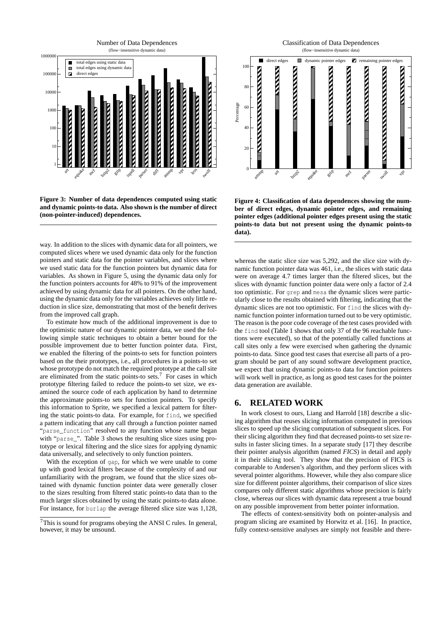

**Figure 3: Number of data dependences computed using static and dynamic points-to data. Also shown is the number of direct (non-pointer-induced) dependences.**

way. In addition to the slices with dynamic data for all pointers, we computed slices where we used dynamic data only for the function pointers and static data for the pointer variables, and slices where we used static data for the function pointers but dynamic data for variables. As shown in Figure 5, using the dynamic data only for the function pointers accounts for 48% to 91% of the improvement achieved by using dynamic data for all pointers. On the other hand, using the dynamic data only for the variables achieves only little reduction in slice size, demonstrating that most of the benefit derives from the improved call graph.

To estimate how much of the additional improvement is due to the optimistic nature of our dynamic pointer data, we used the following simple static techniques to obtain a better bound for the possible improvement due to better function pointer data. First, we enabled the filtering of the points-to sets for function pointers based on the their prototypes, i.e., all procedures in a points-to set whose prototype do not match the required prototype at the call site are eliminated from the static points-to sets.<sup>7</sup> For cases in which prototype filtering failed to reduce the points-to set size, we examined the source code of each application by hand to determine the approximate points-to sets for function pointers. To specify this information to Sprite, we specified a lexical pattern for filtering the static points-to data. For example, for find, we specified a pattern indicating that any call through a function pointer named "parse\_function" resolved to any function whose name began with "parse\_". Table 3 shows the resulting slice sizes using prototype or lexical filtering and the slice sizes for applying dynamic data universally, and selectively to only function pointers.

With the exception of gap, for which we were unable to come up with good lexical filters because of the complexity of and our unfamiliarity with the program, we found that the slice sizes obtained with dynamic function pointer data were generally closer to the sizes resulting from filtered static points-to data than to the much larger slices obtained by using the static points-to data alone. For instance, for burlap the average filtered slice size was 1,128,

Classification of Data Dependences



**Figure 4: Classification of data dependences showing the number of direct edges, dynamic pointer edges, and remaining pointer edges (additional pointer edges present using the static points-to data but not present using the dynamic points-to data).**

whereas the static slice size was 5,292, and the slice size with dynamic function pointer data was 461, i.e., the slices with static data were on average 4.7 times larger than the filtered slices, but the slices with dynamic function pointer data were only a factor of 2.4 too optimistic. For grep and mesa the dynamic slices were particularly close to the results obtained with filtering, indicating that the dynamic slices are not too optimistic. For find the slices with dynamic function pointer information turned out to be very optimistic. The reason is the poor code coverage of the test cases provided with the find tool (Table 1 shows that only 37 of the 96 reachable functions were executed), so that of the potentially called functions at call sites only a few were exercised when gathering the dynamic points-to data. Since good test cases that exercise all parts of a program should be part of any sound software development practice, we expect that using dynamic points-to data for function pointers will work well in practice, as long as good test cases for the pointer data generation are available.

# **6. RELATED WORK**

In work closest to ours, Liang and Harrold [18] describe a slicing algorithm that reuses slicing information computed in previous slices to speed up the slicing computation of subsequent slices. For their slicing algorithm they find that decreased points-to set size results in faster slicing times. In a separate study [17] they describe their pointer analysis algorithm (named *FICS*) in detail and apply it in their slicing tool. They show that the precision of FICS is comparable to Andersen's algorithm, and they perform slices with several pointer algorithms. However, while they also compare slice size for different pointer algorithms, their comparison of slice sizes compares only different static algorithms whose precision is fairly close, whereas our slices with dynamic data represent a true bound on any possible improvement from better pointer information.

The effects of context-sensitivity both on pointer-analysis and program slicing are examined by Horwitz et al. [16]. In practice, fully context-sensitive analyses are simply not feasible and there-

<sup>7</sup>This is sound for programs obeying the ANSI C rules. In general, however, it may be unsound.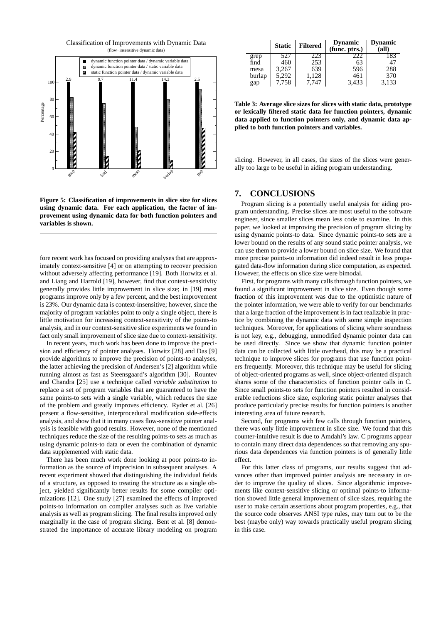

**Figure 5: Classification of improvements in slice size for slices using dynamic data. For each application, the factor of improvement using dynamic data for both function pointers and variables is shown.**

fore recent work has focused on providing analyses that are approximately context-sensitive [4] or on attempting to recover precision without adversely affecting performance [19]. Both Horwitz et al. and Liang and Harrold [19], however, find that context-sensitivity generally provides little improvement in slice size; in [19] most programs improve only by a few percent, and the best improvement is 23%. Our dynamic data is context-insensitive; however, since the majority of program variables point to only a single object, there is little motivation for increasing context-sensitivity of the points-to analysis, and in our context-sensitive slice experiments we found in fact only small improvement of slice size due to context-sensitivity.

In recent years, much work has been done to improve the precision and efficiency of pointer analyses. Horwitz [28] and Das [9] provide algorithms to improve the precision of points-to analyses, the latter achieving the precision of Andersen's [2] algorithm while running almost as fast as Steensgaard's algorithm [30]. Rountev and Chandra [25] use a technique called *variable substitution* to replace a set of program variables that are guaranteed to have the same points-to sets with a single variable, which reduces the size of the problem and greatly improves efficiency. Ryder et al. [26] present a flow-sensitive, interprocedural modification side-effects analysis, and show that it in many cases flow-sensitive pointer analysis is feasible with good results. However, none of the mentioned techniques reduce the size of the resulting points-to sets as much as using dynamic points-to data or even the combination of dynamic data supplemented with static data.

There has been much work done looking at poor points-to information as the source of imprecision in subsequent analyses. A recent experiment showed that distinguishing the individual fields of a structure, as opposed to treating the structure as a single object, yielded significantly better results for some compiler optimizations [12]. One study [27] examined the effects of improved points-to information on compiler analyses such as live variable analysis as well as program slicing. The final results improved only marginally in the case of program slicing. Bent et al. [8] demonstrated the importance of accurate library modeling on program

|        | <b>Static</b> | <b>Filtered</b> | <b>Dynamic</b><br>(func. ptrs.) | <b>Dynamic</b><br>(all) |
|--------|---------------|-----------------|---------------------------------|-------------------------|
| grep   | 527           | 223             |                                 | 183                     |
| find   | 460           | 253             | 63                              | 47                      |
| mesa   | 3,267         | 639             | 596                             | 288                     |
| burlap | 5,292         | 1,128           | 461                             | 370                     |
| gap    | 7,758         | 7.747           | 3,433                           | 3,133                   |

**Table 3: Average slice sizes for slices with static data, prototype or lexically filtered static data for function pointers, dynamic data applied to function pointers only, and dynamic data applied to both function pointers and variables.**

slicing. However, in all cases, the sizes of the slices were generally too large to be useful in aiding program understanding.

# **7. CONCLUSIONS**

Program slicing is a potentially useful analysis for aiding program understanding. Precise slices are most useful to the software engineer, since smaller slices mean less code to examine. In this paper, we looked at improving the precision of program slicing by using dynamic points-to data. Since dynamic points-to sets are a lower bound on the results of any sound static pointer analysis, we can use them to provide a lower bound on slice size. We found that more precise points-to information did indeed result in less propagated data-flow information during slice computation, as expected. However, the effects on slice size were bimodal.

First, for programs with many calls through function pointers, we found a significant improvement in slice size. Even though some fraction of this improvement was due to the optimistic nature of the pointer information, we were able to verify for our benchmarks that a large fraction of the improvement is in fact realizable in practice by combining the dynamic data with some simple inspection techniques. Moreover, for applications of slicing where soundness is not key, e.g., debugging, unmodified dynamic pointer data can be used directly. Since we show that dynamic function pointer data can be collected with little overhead, this may be a practical technique to improve slices for programs that use function pointers frequently. Moreover, this technique may be useful for slicing of object-oriented programs as well, since object-oriented dispatch shares some of the characteristics of function pointer calls in C. Since small points-to sets for function pointers resulted in considerable reductions slice size, exploring static pointer analyses that produce particularly precise results for function pointers is another interesting area of future research.

Second, for programs with few calls through function pointers, there was only little improvement in slice size. We found that this counter-intuitive result is due to Amdahl's law. C programs appear to contain many direct data dependences so that removing any spurious data dependences via function pointers is of generally little effect.

For this latter class of programs, our results suggest that advances other than improved pointer analysis are necessary in order to improve the quality of slices. Since algorithmic improvements like context-sensitive slicing or optimal points-to information showed little general improvement of slice sizes, requiring the user to make certain assertions about program properties, e.g., that the source code observes ANSI type rules, may turn out to be the best (maybe only) way towards practically useful program slicing in this case.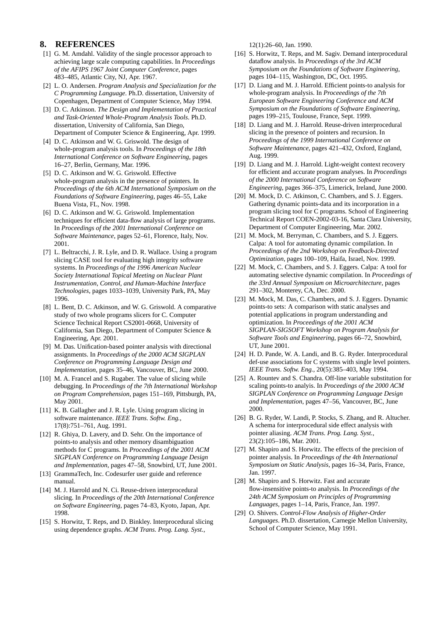# **8. REFERENCES**

- [1] G. M. Amdahl. Validity of the single processor approach to achieving large scale computing capabilities. In *Proceedings of the AFIPS 1967 Joint Computer Conference*, pages 483–485, Atlantic City, NJ, Apr. 1967.
- [2] L. O. Andersen. *Program Analysis and Specialization for the C Programming Language*. Ph.D. dissertation, University of Copenhagen, Department of Computer Science, May 1994.
- [3] D. C. Atkinson. *The Design and Implementation of Practical and Task-Oriented Whole-Program Analysis Tools*. Ph.D. dissertation, University of California, San Diego, Department of Computer Science & Engineering, Apr. 1999.
- [4] D. C. Atkinson and W. G. Griswold. The design of whole-program analysis tools. In *Proceedings of the 18th International Conference on Software Engineering*, pages 16–27, Berlin, Germany, Mar. 1996.
- [5] D. C. Atkinson and W. G. Griswold. Effective whole-program analysis in the presence of pointers. In *Proceedings of the 6th ACM International Symposium on the Foundations of Software Engineering*, pages 46–55, Lake Buena Vista, FL, Nov. 1998.
- [6] D. C. Atkinson and W. G. Griswold. Implementation techniques for efficient data-flow analysis of large programs. In *Proceedings of the 2001 International Conference on Software Maintenance*, pages 52–61, Florence, Italy, Nov. 2001.
- [7] L. Beltracchi, J. R. Lyle, and D. R. Wallace. Using a program slicing CASE tool for evaluating high integrity software systems. In *Proceedings of the 1996 American Nuclear Society International Topical Meeting on Nuclear Plant Instrumentation, Control, and Human-Machine Interface Technologies*, pages 1033–1039, University Park, PA, May 1996.
- [8] L. Bent, D. C. Atkinson, and W. G. Griswold. A comparative study of two whole programs slicers for C. Computer Science Technical Report CS2001-0668, University of California, San Diego, Department of Computer Science & Engineering, Apr. 2001.
- [9] M. Das. Unification-based pointer analysis with directional assignments. In *Proceedings of the 2000 ACM SIGPLAN Conference on Programming Language Design and Implementation*, pages 35–46, Vancouver, BC, June 2000.
- [10] M. A. Francel and S. Rugaber. The value of slicing while debugging. In *Proceedings of the 7th International Workshop on Program Comprehension*, pages 151–169, Pittsburgh, PA, May 2001.
- [11] K. B. Gallagher and J. R. Lyle. Using program slicing in software maintenance. *IEEE Trans. Softw. Eng.*, 17(8):751–761, Aug. 1991.
- [12] R. Ghiya, D. Lavery, and D. Sehr. On the importance of points-to analysis and other memory disambiguation methods for C programs. In *Proceedings of the 2001 ACM SIGPLAN Conference on Programming Language Design and Implementation*, pages 47–58, Snowbird, UT, June 2001.
- [13] GrammaTech, Inc. Codesurfer user guide and reference manual.
- [14] M. J. Harrold and N. Ci. Reuse-driven interprocedural slicing. In *Proceedings of the 20th International Conference on Software Engineering*, pages 74–83, Kyoto, Japan, Apr. 1998.
- [15] S. Horwitz, T. Reps, and D. Binkley. Interprocedural slicing using dependence graphs. *ACM Trans. Prog. Lang. Syst.*,

12(1):26–60, Jan. 1990.

- [16] S. Horwitz, T. Reps, and M. Sagiv. Demand interprocedural dataflow analysis. In *Proceedings of the 3rd ACM Symposium on the Foundations of Software Engineering*, pages 104–115, Washington, DC, Oct. 1995.
- [17] D. Liang and M. J. Harrold. Efficient points-to analysis for whole-program analysis. In *Proceeedings of the 7th European Software Engineering Conference and ACM Symposium on the Foundations of Software Engineering*, pages 199–215, Toulouse, France, Sept. 1999.
- [18] D. Liang and M. J. Harrold. Reuse-driven interprocedural slicing in the presence of pointers and recursion. In *Proceedings of the 1999 International Conference on Software Maintenance*, pages 421–432, Oxford, England, Aug. 1999.
- [19] D. Liang and M. J. Harrold. Light-weight context recovery for efficient and accurate program analyses. In *Proceedings of the 2000 International Conference on Software Engineering*, pages 366–375, Limerick, Ireland, June 2000.
- [20] M. Mock, D. C. Atkinson, C. Chambers, and S. J. Eggers. Gathering dynamic points-data and its incorporation in a program slicing tool for C programs. School of Engineering Technical Report COEN-2002-03-16, Santa Clara University, Department of Computer Engineering, Mar. 2002.
- [21] M. Mock, M. Berryman, C. Chambers, and S. J. Eggers. Calpa: A tool for automating dynamic compilation. In *Proceedings of the 2nd Workshop on Feedback-Directed Optimization*, pages 100–109, Haifa, Israel, Nov. 1999.
- [22] M. Mock, C. Chambers, and S. J. Eggers. Calpa: A tool for automating selective dynamic compilation. In *Proceedings of the 33rd Annual Symposium on Microarchitecture*, pages 291–302, Monterey, CA, Dec. 2000.
- [23] M. Mock, M. Das, C. Chambers, and S. J. Eggers. Dynamic points-to sets: A comparison with static analyses and potential applications in program understanding and optimization. In *Proceedings of the 2001 ACM SIGPLAN-SIGSOFT Workshop on Program Analysis for Software Tools and Engineering*, pages 66–72, Snowbird, UT, June 2001.
- [24] H. D. Pande, W. A. Landi, and B. G. Ryder. Interprocedural def-use associations for C systems with single level pointers. *IEEE Trans. Softw. Eng.*, 20(5):385–403, May 1994.
- [25] A. Rountey and S. Chandra. Off-line variable substitution for scaling points-to analyis. In *Proceedings of the 2000 ACM SIGPLAN Conference on Programming Language Design and Implementation*, pages 47–56, Vancouver, BC, June 2000.
- [26] B. G. Ryder, W. Landi, P. Stocks, S. Zhang, and R. Altucher. A schema for interprocedural side effect analysis with pointer aliasing. *ACM Trans. Prog. Lang. Syst.*, 23(2):105–186, Mar. 2001.
- [27] M. Shapiro and S. Horwitz. The effects of the precision of pointer analysis. In *Proceedings of the 4th International Symposium on Static Analysis*, pages 16–34, Paris, France, Jan. 1997.
- [28] M. Shapiro and S. Horwitz. Fast and accurate flow-insensitive points-to analysis. In *Proceedings of the 24th ACM Symposium on Principles of Programming Languages*, pages 1–14, Paris, France, Jan. 1997.
- [29] O. Shivers. *Control-Flow Analysis of Higher-Order Languages*. Ph.D. dissertation, Carnegie Mellon University, School of Computer Science, May 1991.